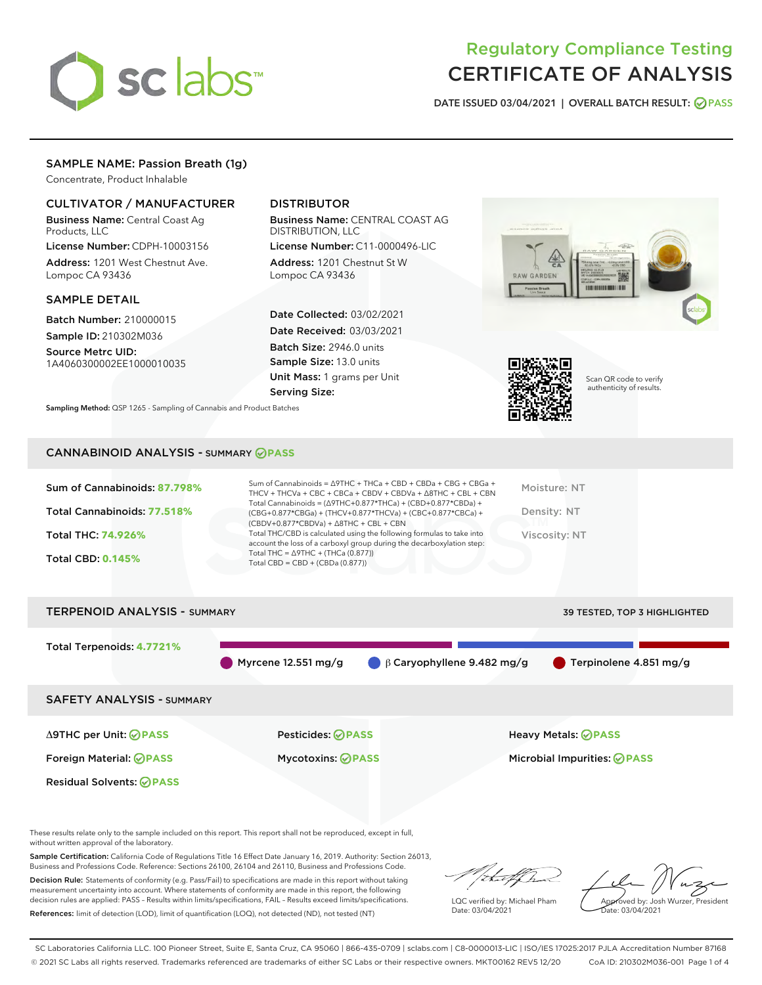

# Regulatory Compliance Testing CERTIFICATE OF ANALYSIS

DATE ISSUED 03/04/2021 | OVERALL BATCH RESULT: @ PASS

# SAMPLE NAME: Passion Breath (1g)

Concentrate, Product Inhalable

## CULTIVATOR / MANUFACTURER

Business Name: Central Coast Ag Products, LLC

License Number: CDPH-10003156 Address: 1201 West Chestnut Ave. Lompoc CA 93436

## SAMPLE DETAIL

Batch Number: 210000015 Sample ID: 210302M036

Source Metrc UID: 1A4060300002EE1000010035

# DISTRIBUTOR

Business Name: CENTRAL COAST AG DISTRIBUTION, LLC

License Number: C11-0000496-LIC Address: 1201 Chestnut St W Lompoc CA 93436

Date Collected: 03/02/2021 Date Received: 03/03/2021 Batch Size: 2946.0 units Sample Size: 13.0 units Unit Mass: 1 grams per Unit Serving Size:





Scan QR code to verify authenticity of results.

Sampling Method: QSP 1265 - Sampling of Cannabis and Product Batches

## CANNABINOID ANALYSIS - SUMMARY **PASS**

| Sum of Cannabinoids: 87.798% | Sum of Cannabinoids = Δ9THC + THCa + CBD + CBDa + CBG + CBGa +<br>THCV + THCVa + CBC + CBCa + CBDV + CBDVa + $\Delta$ 8THC + CBL + CBN                                               | Moisture: NT  |
|------------------------------|--------------------------------------------------------------------------------------------------------------------------------------------------------------------------------------|---------------|
| Total Cannabinoids: 77.518%  | Total Cannabinoids = $(\Delta$ 9THC+0.877*THCa) + (CBD+0.877*CBDa) +<br>(CBG+0.877*CBGa) + (THCV+0.877*THCVa) + (CBC+0.877*CBCa) +<br>$(CBDV+0.877*CBDVa) + \Delta 8THC + CBL + CBN$ | Density: NT   |
| Total THC: 74.926%           | Total THC/CBD is calculated using the following formulas to take into<br>account the loss of a carboxyl group during the decarboxylation step:                                       | Viscosity: NT |
| <b>Total CBD: 0.145%</b>     | Total THC = $\triangle$ 9THC + (THCa (0.877))<br>Total CBD = $CBD + (CBDa (0.877))$                                                                                                  |               |
|                              |                                                                                                                                                                                      |               |



These results relate only to the sample included on this report. This report shall not be reproduced, except in full, without written approval of the laboratory.

Sample Certification: California Code of Regulations Title 16 Effect Date January 16, 2019. Authority: Section 26013, Business and Professions Code. Reference: Sections 26100, 26104 and 26110, Business and Professions Code.

Decision Rule: Statements of conformity (e.g. Pass/Fail) to specifications are made in this report without taking measurement uncertainty into account. Where statements of conformity are made in this report, the following decision rules are applied: PASS – Results within limits/specifications, FAIL – Results exceed limits/specifications. References: limit of detection (LOD), limit of quantification (LOQ), not detected (ND), not tested (NT)

that f Ir

LQC verified by: Michael Pham Date: 03/04/2021

Approved by: Josh Wurzer, President ate: 03/04/2021

SC Laboratories California LLC. 100 Pioneer Street, Suite E, Santa Cruz, CA 95060 | 866-435-0709 | sclabs.com | C8-0000013-LIC | ISO/IES 17025:2017 PJLA Accreditation Number 87168 © 2021 SC Labs all rights reserved. Trademarks referenced are trademarks of either SC Labs or their respective owners. MKT00162 REV5 12/20 CoA ID: 210302M036-001 Page 1 of 4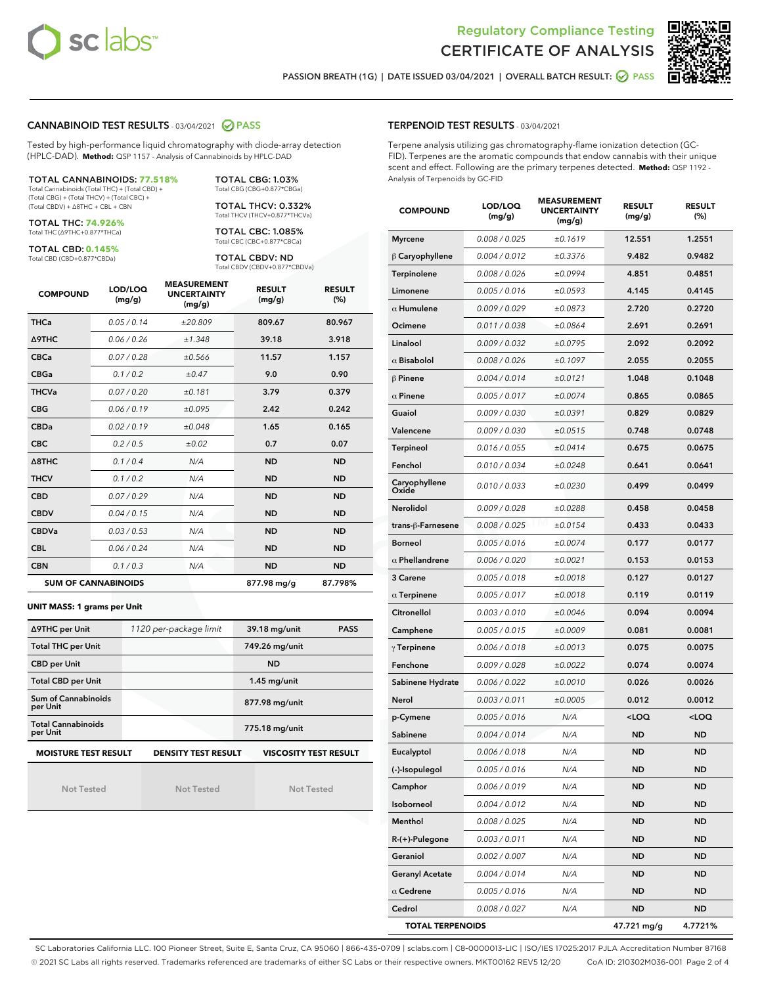



PASSION BREATH (1G) | DATE ISSUED 03/04/2021 | OVERALL BATCH RESULT: 2 PASS

## CANNABINOID TEST RESULTS - 03/04/2021 2 PASS

Tested by high-performance liquid chromatography with diode-array detection (HPLC-DAD). **Method:** QSP 1157 - Analysis of Cannabinoids by HPLC-DAD

#### TOTAL CANNABINOIDS: **77.518%**

Total Cannabinoids (Total THC) + (Total CBD) + (Total CBG) + (Total THCV) + (Total CBC) + (Total CBDV) + ∆8THC + CBL + CBN

TOTAL THC: **74.926%** Total THC (∆9THC+0.877\*THCa)

TOTAL CBD: **0.145%**

Total CBD (CBD+0.877\*CBDa)

TOTAL CBG: 1.03% Total CBG (CBG+0.877\*CBGa)

TOTAL THCV: 0.332% Total THCV (THCV+0.877\*THCVa)

TOTAL CBC: 1.085% Total CBC (CBC+0.877\*CBCa)

TOTAL CBDV: ND Total CBDV (CBDV+0.877\*CBDVa)

| <b>COMPOUND</b>  | LOD/LOQ<br>(mg/g)          | <b>MEASUREMENT</b><br><b>UNCERTAINTY</b><br>(mg/g) | <b>RESULT</b><br>(mg/g) | <b>RESULT</b><br>(% ) |
|------------------|----------------------------|----------------------------------------------------|-------------------------|-----------------------|
| <b>THCa</b>      | 0.05/0.14                  | ±20.809                                            | 809.67                  | 80.967                |
| Δ9THC            | 0.06 / 0.26                | ±1.348                                             | 39.18                   | 3.918                 |
| <b>CBCa</b>      | 0.07/0.28                  | ±0.566                                             | 11.57                   | 1.157                 |
| <b>CBGa</b>      | 0.1/0.2                    | ±0.47                                              | 9.0                     | 0.90                  |
| <b>THCVa</b>     | 0.07/0.20                  | ±0.181                                             | 3.79                    | 0.379                 |
| <b>CBG</b>       | 0.06/0.19                  | ±0.095                                             | 2.42                    | 0.242                 |
| <b>CBDa</b>      | 0.02/0.19                  | ±0.048                                             | 1.65                    | 0.165                 |
| <b>CBC</b>       | 0.2 / 0.5                  | ±0.02                                              | 0.7                     | 0.07                  |
| $\triangle$ 8THC | 0.1 / 0.4                  | N/A                                                | <b>ND</b>               | <b>ND</b>             |
| <b>THCV</b>      | 0.1/0.2                    | N/A                                                | <b>ND</b>               | <b>ND</b>             |
| <b>CBD</b>       | 0.07/0.29                  | N/A                                                | <b>ND</b>               | <b>ND</b>             |
| <b>CBDV</b>      | 0.04 / 0.15                | N/A                                                | <b>ND</b>               | <b>ND</b>             |
| <b>CBDVa</b>     | 0.03/0.53                  | N/A                                                | <b>ND</b>               | <b>ND</b>             |
| <b>CBL</b>       | 0.06 / 0.24                | N/A                                                | <b>ND</b>               | <b>ND</b>             |
| <b>CBN</b>       | 0.1 / 0.3                  | N/A                                                | <b>ND</b>               | <b>ND</b>             |
|                  | <b>SUM OF CANNABINOIDS</b> |                                                    | 877.98 mg/g             | 87.798%               |

#### **UNIT MASS: 1 grams per Unit**

| ∆9THC per Unit                                                                            | 1120 per-package limit | 39.18 mg/unit<br><b>PASS</b> |  |  |  |
|-------------------------------------------------------------------------------------------|------------------------|------------------------------|--|--|--|
| <b>Total THC per Unit</b>                                                                 |                        | 749.26 mg/unit               |  |  |  |
| <b>CBD per Unit</b>                                                                       |                        | <b>ND</b>                    |  |  |  |
| <b>Total CBD per Unit</b>                                                                 |                        | $1.45$ mg/unit               |  |  |  |
| Sum of Cannabinoids<br>per Unit                                                           |                        | 877.98 mg/unit               |  |  |  |
| <b>Total Cannabinoids</b><br>per Unit                                                     |                        | 775.18 mg/unit               |  |  |  |
| <b>MOISTURE TEST RESULT</b><br><b>VISCOSITY TEST RESULT</b><br><b>DENSITY TEST RESULT</b> |                        |                              |  |  |  |

Not Tested

Not Tested

Not Tested

#### TERPENOID TEST RESULTS - 03/04/2021

Terpene analysis utilizing gas chromatography-flame ionization detection (GC-FID). Terpenes are the aromatic compounds that endow cannabis with their unique scent and effect. Following are the primary terpenes detected. **Method:** QSP 1192 - Analysis of Terpenoids by GC-FID

| <b>COMPOUND</b>         | LOD/LOQ<br>(mg/g) | <b>MEASUREMENT</b><br><b>UNCERTAINTY</b><br>(mg/g) | <b>RESULT</b><br>(mg/g)                         | <b>RESULT</b><br>(%) |
|-------------------------|-------------------|----------------------------------------------------|-------------------------------------------------|----------------------|
| <b>Myrcene</b>          | 0.008 / 0.025     | ±0.1619                                            | 12.551                                          | 1.2551               |
| $\upbeta$ Caryophyllene | 0.004 / 0.012     | ±0.3376                                            | 9.482                                           | 0.9482               |
| Terpinolene             | 0.008 / 0.026     | ±0.0994                                            | 4.851                                           | 0.4851               |
| Limonene                | 0.005 / 0.016     | ±0.0593                                            | 4.145                                           | 0.4145               |
| $\alpha$ Humulene       | 0.009 / 0.029     | ±0.0873                                            | 2.720                                           | 0.2720               |
| Ocimene                 | 0.011 / 0.038     | ±0.0864                                            | 2.691                                           | 0.2691               |
| Linalool                | 0.009 / 0.032     | ±0.0795                                            | 2.092                                           | 0.2092               |
| $\alpha$ Bisabolol      | 0.008 / 0.026     | ±0.1097                                            | 2.055                                           | 0.2055               |
| $\beta$ Pinene          | 0.004 / 0.014     | ±0.0121                                            | 1.048                                           | 0.1048               |
| $\alpha$ Pinene         | 0.005 / 0.017     | ±0.0074                                            | 0.865                                           | 0.0865               |
| Guaiol                  | 0.009 / 0.030     | ±0.0391                                            | 0.829                                           | 0.0829               |
| Valencene               | 0.009 / 0.030     | ±0.0515                                            | 0.748                                           | 0.0748               |
| Terpineol               | 0.016 / 0.055     | ±0.0414                                            | 0.675                                           | 0.0675               |
| Fenchol                 | 0.010 / 0.034     | ±0.0248                                            | 0.641                                           | 0.0641               |
| Caryophyllene<br>Oxide  | 0.010 / 0.033     | ±0.0230                                            | 0.499                                           | 0.0499               |
| Nerolidol               | 0.009 / 0.028     | ±0.0288                                            | 0.458                                           | 0.0458               |
| trans-β-Farnesene       | 0.008 / 0.025     | ±0.0154                                            | 0.433                                           | 0.0433               |
| <b>Borneol</b>          | 0.005 / 0.016     | ±0.0074                                            | 0.177                                           | 0.0177               |
| $\alpha$ Phellandrene   | 0.006 / 0.020     | ±0.0021                                            | 0.153                                           | 0.0153               |
| 3 Carene                | 0.005 / 0.018     | ±0.0018                                            | 0.127                                           | 0.0127               |
| $\alpha$ Terpinene      | 0.005 / 0.017     | ±0.0018                                            | 0.119                                           | 0.0119               |
| Citronellol             | 0.003 / 0.010     | ±0.0046                                            | 0.094                                           | 0.0094               |
| Camphene                | 0.005 / 0.015     | ±0.0009                                            | 0.081                                           | 0.0081               |
| $\gamma$ Terpinene      | 0.006 / 0.018     | ±0.0013                                            | 0.075                                           | 0.0075               |
| Fenchone                | 0.009 / 0.028     | ±0.0022                                            | 0.074                                           | 0.0074               |
| Sabinene Hydrate        | 0.006 / 0.022     | ±0.0010                                            | 0.026                                           | 0.0026               |
| Nerol                   | 0.003 / 0.011     | ±0.0005                                            | 0.012                                           | 0.0012               |
| p-Cymene                | 0.005 / 0.016     | N/A                                                | <loq< th=""><th><loq< th=""></loq<></th></loq<> | <loq< th=""></loq<>  |
| Sabinene                | 0.004 / 0.014     | N/A                                                | <b>ND</b>                                       | <b>ND</b>            |
| Eucalyptol              | 0.006 / 0.018     | N/A                                                | <b>ND</b>                                       | <b>ND</b>            |
| (-)-Isopulegol          | 0.005 / 0.016     | N/A                                                | ND                                              | ND                   |
| Camphor                 | 0.006 / 0.019     | N/A                                                | <b>ND</b>                                       | ND                   |
| Isoborneol              | 0.004 / 0.012     | N/A                                                | ND                                              | ND                   |
| Menthol                 | 0.008 / 0.025     | N/A                                                | <b>ND</b>                                       | ND                   |
| R-(+)-Pulegone          | 0.003 / 0.011     | N/A                                                | ND                                              | ND                   |
| Geraniol                | 0.002 / 0.007     | N/A                                                | ND                                              | ND                   |
| <b>Geranyl Acetate</b>  | 0.004 / 0.014     | N/A                                                | ND                                              | ND                   |
| $\alpha$ Cedrene        | 0.005 / 0.016     | N/A                                                | ND                                              | ND                   |
| Cedrol                  | 0.008 / 0.027     | N/A                                                | ND                                              | ND                   |
| <b>TOTAL TERPENOIDS</b> |                   |                                                    | 47.721 mg/g                                     | 4.7721%              |

SC Laboratories California LLC. 100 Pioneer Street, Suite E, Santa Cruz, CA 95060 | 866-435-0709 | sclabs.com | C8-0000013-LIC | ISO/IES 17025:2017 PJLA Accreditation Number 87168 © 2021 SC Labs all rights reserved. Trademarks referenced are trademarks of either SC Labs or their respective owners. MKT00162 REV5 12/20 CoA ID: 210302M036-001 Page 2 of 4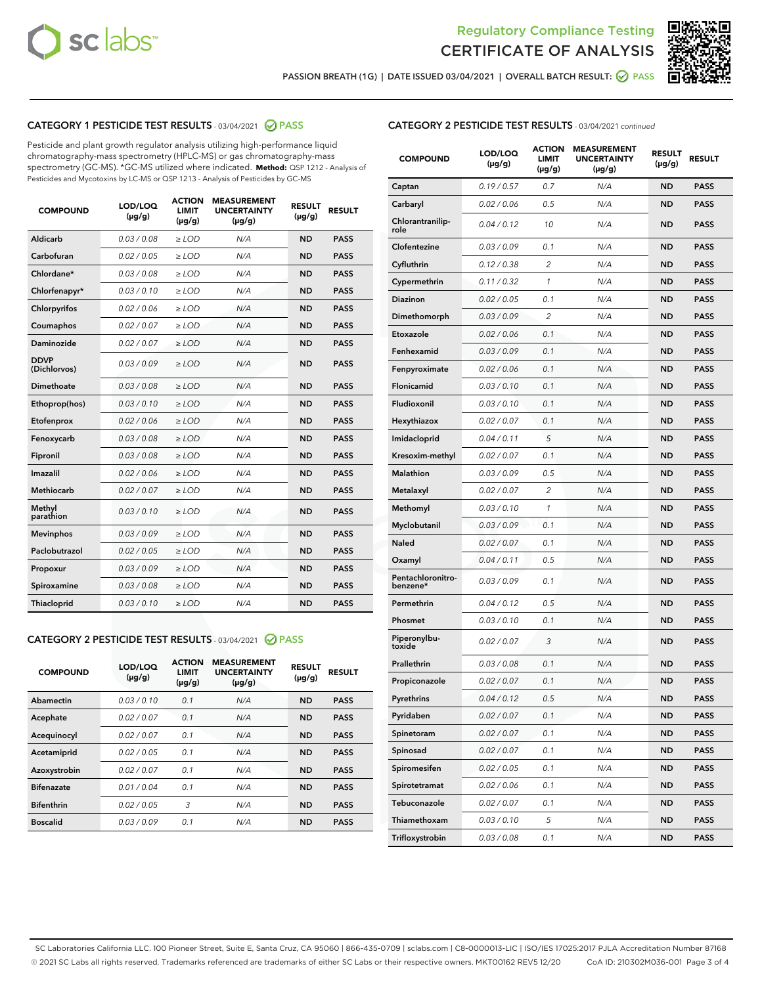



PASSION BREATH (1G) | DATE ISSUED 03/04/2021 | OVERALL BATCH RESULT:  $\bigcirc$  PASS

## CATEGORY 1 PESTICIDE TEST RESULTS - 03/04/2021 2 PASS

Pesticide and plant growth regulator analysis utilizing high-performance liquid chromatography-mass spectrometry (HPLC-MS) or gas chromatography-mass spectrometry (GC-MS). \*GC-MS utilized where indicated. **Method:** QSP 1212 - Analysis of Pesticides and Mycotoxins by LC-MS or QSP 1213 - Analysis of Pesticides by GC-MS

| <b>COMPOUND</b>             | LOD/LOQ<br>$(\mu g/g)$ | <b>ACTION</b><br><b>LIMIT</b><br>$(\mu q/q)$ | <b>MEASUREMENT</b><br><b>UNCERTAINTY</b><br>$(\mu g/g)$ | <b>RESULT</b><br>$(\mu g/g)$ | <b>RESULT</b> |
|-----------------------------|------------------------|----------------------------------------------|---------------------------------------------------------|------------------------------|---------------|
| Aldicarb                    | 0.03 / 0.08            | $\ge$ LOD                                    | N/A                                                     | <b>ND</b>                    | <b>PASS</b>   |
| Carbofuran                  | 0.02/0.05              | $>$ LOD                                      | N/A                                                     | <b>ND</b>                    | <b>PASS</b>   |
| Chlordane*                  | 0.03 / 0.08            | $\ge$ LOD                                    | N/A                                                     | <b>ND</b>                    | <b>PASS</b>   |
| Chlorfenapyr*               | 0.03/0.10              | $\ge$ LOD                                    | N/A                                                     | <b>ND</b>                    | <b>PASS</b>   |
| Chlorpyrifos                | 0.02 / 0.06            | $\ge$ LOD                                    | N/A                                                     | <b>ND</b>                    | <b>PASS</b>   |
| Coumaphos                   | 0.02 / 0.07            | $>$ LOD                                      | N/A                                                     | <b>ND</b>                    | <b>PASS</b>   |
| <b>Daminozide</b>           | 0.02 / 0.07            | $\ge$ LOD                                    | N/A                                                     | <b>ND</b>                    | <b>PASS</b>   |
| <b>DDVP</b><br>(Dichlorvos) | 0.03/0.09              | $\ge$ LOD                                    | N/A                                                     | <b>ND</b>                    | <b>PASS</b>   |
| <b>Dimethoate</b>           | 0.03 / 0.08            | $\ge$ LOD                                    | N/A                                                     | <b>ND</b>                    | <b>PASS</b>   |
| Ethoprop(hos)               | 0.03/0.10              | $\ge$ LOD                                    | N/A                                                     | <b>ND</b>                    | <b>PASS</b>   |
| Etofenprox                  | 0.02 / 0.06            | $\ge$ LOD                                    | N/A                                                     | <b>ND</b>                    | <b>PASS</b>   |
| Fenoxycarb                  | 0.03 / 0.08            | $\ge$ LOD                                    | N/A                                                     | <b>ND</b>                    | <b>PASS</b>   |
| Fipronil                    | 0.03/0.08              | $>$ LOD                                      | N/A                                                     | <b>ND</b>                    | <b>PASS</b>   |
| Imazalil                    | 0.02 / 0.06            | $\ge$ LOD                                    | N/A                                                     | <b>ND</b>                    | <b>PASS</b>   |
| Methiocarb                  | 0.02 / 0.07            | $\ge$ LOD                                    | N/A                                                     | <b>ND</b>                    | <b>PASS</b>   |
| Methyl<br>parathion         | 0.03/0.10              | $>$ LOD                                      | N/A                                                     | <b>ND</b>                    | <b>PASS</b>   |
| <b>Mevinphos</b>            | 0.03/0.09              | $>$ LOD                                      | N/A                                                     | <b>ND</b>                    | <b>PASS</b>   |
| Paclobutrazol               | 0.02 / 0.05            | $\ge$ LOD                                    | N/A                                                     | <b>ND</b>                    | <b>PASS</b>   |
| Propoxur                    | 0.03/0.09              | $\ge$ LOD                                    | N/A                                                     | <b>ND</b>                    | <b>PASS</b>   |
| Spiroxamine                 | 0.03 / 0.08            | $\ge$ LOD                                    | N/A                                                     | <b>ND</b>                    | <b>PASS</b>   |
| <b>Thiacloprid</b>          | 0.03/0.10              | $\ge$ LOD                                    | N/A                                                     | <b>ND</b>                    | <b>PASS</b>   |

#### CATEGORY 2 PESTICIDE TEST RESULTS - 03/04/2021 @ PASS

| <b>COMPOUND</b>   | LOD/LOQ<br>$(\mu g/g)$ | <b>ACTION</b><br><b>LIMIT</b><br>$(\mu g/g)$ | <b>MEASUREMENT</b><br><b>UNCERTAINTY</b><br>$(\mu g/g)$ | <b>RESULT</b><br>$(\mu g/g)$ | <b>RESULT</b> |
|-------------------|------------------------|----------------------------------------------|---------------------------------------------------------|------------------------------|---------------|
| Abamectin         | 0.03/0.10              | 0.1                                          | N/A                                                     | <b>ND</b>                    | <b>PASS</b>   |
| Acephate          | 0.02/0.07              | 0.1                                          | N/A                                                     | <b>ND</b>                    | <b>PASS</b>   |
| Acequinocyl       | 0.02/0.07              | 0.1                                          | N/A                                                     | <b>ND</b>                    | <b>PASS</b>   |
| Acetamiprid       | 0.02/0.05              | 0.1                                          | N/A                                                     | <b>ND</b>                    | <b>PASS</b>   |
| Azoxystrobin      | 0.02/0.07              | 0.1                                          | N/A                                                     | <b>ND</b>                    | <b>PASS</b>   |
| <b>Bifenazate</b> | 0.01/0.04              | 0.1                                          | N/A                                                     | <b>ND</b>                    | <b>PASS</b>   |
| <b>Bifenthrin</b> | 0.02/0.05              | 3                                            | N/A                                                     | <b>ND</b>                    | <b>PASS</b>   |
| <b>Boscalid</b>   | 0.03/0.09              | 0.1                                          | N/A                                                     | <b>ND</b>                    | <b>PASS</b>   |

| <b>CATEGORY 2 PESTICIDE TEST RESULTS</b> - 03/04/2021 continued |
|-----------------------------------------------------------------|
|-----------------------------------------------------------------|

| <b>COMPOUND</b>               | LOD/LOQ<br>$(\mu g/g)$ | <b>ACTION</b><br>LIMIT<br>$(\mu g/g)$ | <b>MEASUREMENT</b><br><b>UNCERTAINTY</b><br>(µg/g) | <b>RESULT</b><br>(µg/g) | <b>RESULT</b> |
|-------------------------------|------------------------|---------------------------------------|----------------------------------------------------|-------------------------|---------------|
| Captan                        | 0.19/0.57              | 0.7                                   | N/A                                                | <b>ND</b>               | <b>PASS</b>   |
| Carbaryl                      | 0.02 / 0.06            | 0.5                                   | N/A                                                | ND                      | <b>PASS</b>   |
| Chlorantranilip-<br>role      | 0.04/0.12              | 10                                    | N/A                                                | ND                      | <b>PASS</b>   |
| Clofentezine                  | 0.03 / 0.09            | 0.1                                   | N/A                                                | ND                      | <b>PASS</b>   |
| Cyfluthrin                    | 0.12 / 0.38            | 2                                     | N/A                                                | ND                      | <b>PASS</b>   |
| Cypermethrin                  | 0.11 / 0.32            | 1                                     | N/A                                                | ND                      | <b>PASS</b>   |
| <b>Diazinon</b>               | 0.02 / 0.05            | 0.1                                   | N/A                                                | ND                      | <b>PASS</b>   |
| Dimethomorph                  | 0.03 / 0.09            | 2                                     | N/A                                                | ND                      | <b>PASS</b>   |
| Etoxazole                     | 0.02 / 0.06            | 0.1                                   | N/A                                                | ND                      | <b>PASS</b>   |
| Fenhexamid                    | 0.03 / 0.09            | 0.1                                   | N/A                                                | ND                      | <b>PASS</b>   |
| Fenpyroximate                 | 0.02 / 0.06            | 0.1                                   | N/A                                                | ND                      | PASS          |
| Flonicamid                    | 0.03 / 0.10            | 0.1                                   | N/A                                                | ND                      | <b>PASS</b>   |
| Fludioxonil                   | 0.03/0.10              | 0.1                                   | N/A                                                | ND                      | <b>PASS</b>   |
| Hexythiazox                   | 0.02 / 0.07            | 0.1                                   | N/A                                                | ND                      | <b>PASS</b>   |
| Imidacloprid                  | 0.04/0.11              | 5                                     | N/A                                                | ND                      | <b>PASS</b>   |
| Kresoxim-methyl               | 0.02 / 0.07            | 0.1                                   | N/A                                                | ND                      | <b>PASS</b>   |
| <b>Malathion</b>              | 0.03 / 0.09            | 0.5                                   | N/A                                                | ND                      | <b>PASS</b>   |
| Metalaxyl                     | 0.02 / 0.07            | 2                                     | N/A                                                | ND                      | <b>PASS</b>   |
| Methomyl                      | 0.03 / 0.10            | 1                                     | N/A                                                | ND                      | <b>PASS</b>   |
| Myclobutanil                  | 0.03 / 0.09            | 0.1                                   | N/A                                                | ND                      | PASS          |
| <b>Naled</b>                  | 0.02 / 0.07            | 0.1                                   | N/A                                                | ND                      | <b>PASS</b>   |
| Oxamyl                        | 0.04 / 0.11            | 0.5                                   | N/A                                                | ND                      | <b>PASS</b>   |
| Pentachloronitro-<br>benzene* | 0.03 / 0.09            | 0.1                                   | N/A                                                | ND                      | <b>PASS</b>   |
| Permethrin                    | 0.04 / 0.12            | 0.5                                   | N/A                                                | ND                      | <b>PASS</b>   |
| Phosmet                       | 0.03 / 0.10            | 0.1                                   | N/A                                                | ND                      | PASS          |
| Piperonylbu-<br>toxide        | 0.02 / 0.07            | 3                                     | N/A                                                | ND                      | <b>PASS</b>   |
| Prallethrin                   | 0.03 / 0.08            | 0.1                                   | N/A                                                | ND                      | <b>PASS</b>   |
| Propiconazole                 | 0.02 / 0.07            | 0.1                                   | N/A                                                | ND                      | <b>PASS</b>   |
| Pyrethrins                    | 0.04 / 0.12            | 0.5                                   | N/A                                                | ND                      | PASS          |
| Pyridaben                     | 0.02 / 0.07            | 0.1                                   | N/A                                                | ND                      | <b>PASS</b>   |
| Spinetoram                    | 0.02 / 0.07            | 0.1                                   | N/A                                                | <b>ND</b>               | <b>PASS</b>   |
| Spinosad                      | 0.02 / 0.07            | 0.1                                   | N/A                                                | ND                      | <b>PASS</b>   |
| Spiromesifen                  | 0.02 / 0.05            | 0.1                                   | N/A                                                | ND                      | <b>PASS</b>   |
| Spirotetramat                 | 0.02 / 0.06            | 0.1                                   | N/A                                                | ND                      | <b>PASS</b>   |
| Tebuconazole                  | 0.02 / 0.07            | 0.1                                   | N/A                                                | ND                      | <b>PASS</b>   |
| Thiamethoxam                  | 0.03 / 0.10            | 5                                     | N/A                                                | ND                      | <b>PASS</b>   |
| Trifloxystrobin               | 0.03 / 0.08            | 0.1                                   | N/A                                                | ND                      | <b>PASS</b>   |

SC Laboratories California LLC. 100 Pioneer Street, Suite E, Santa Cruz, CA 95060 | 866-435-0709 | sclabs.com | C8-0000013-LIC | ISO/IES 17025:2017 PJLA Accreditation Number 87168 © 2021 SC Labs all rights reserved. Trademarks referenced are trademarks of either SC Labs or their respective owners. MKT00162 REV5 12/20 CoA ID: 210302M036-001 Page 3 of 4